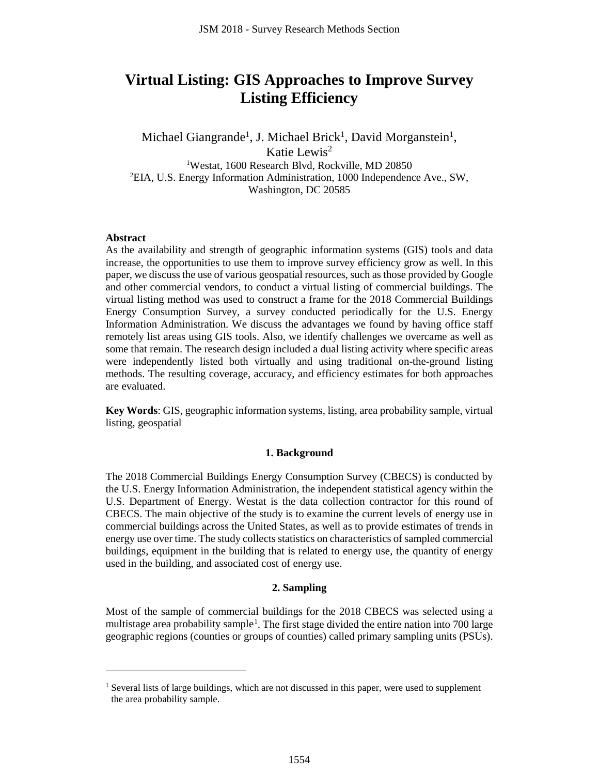# **Virtual Listing: GIS Approaches to Improve Survey Listing Efficiency**

Michael Giangrande<sup>1</sup>, J. Michael Brick<sup>1</sup>, David Morganstein<sup>1</sup>, Katie Lewis2 1 Westat, 1600 Research Blvd, Rockville, MD 20850 2 EIA, U.S. Energy Information Administration, 1000 Independence Ave., SW, Washington, DC 20585

#### **Abstract**

 $\overline{a}$ 

As the availability and strength of geographic information systems (GIS) tools and data increase, the opportunities to use them to improve survey efficiency grow as well. In this paper, we discuss the use of various geospatial resources, such as those provided by Google and other commercial vendors, to conduct a virtual listing of commercial buildings. The virtual listing method was used to construct a frame for the 2018 Commercial Buildings Energy Consumption Survey, a survey conducted periodically for the U.S. Energy Information Administration. We discuss the advantages we found by having office staff remotely list areas using GIS tools. Also, we identify challenges we overcame as well as some that remain. The research design included a dual listing activity where specific areas were independently listed both virtually and using traditional on-the-ground listing methods. The resulting coverage, accuracy, and efficiency estimates for both approaches are evaluated.

**Key Words**: GIS, geographic information systems, listing, area probability sample, virtual listing, geospatial

#### **1. Background**

The 2018 Commercial Buildings Energy Consumption Survey (CBECS) is conducted by the U.S. Energy Information Administration, the independent statistical agency within the U.S. Department of Energy. Westat is the data collection contractor for this round of CBECS. The main objective of the study is to examine the current levels of energy use in commercial buildings across the United States, as well as to provide estimates of trends in energy use over time. The study collects statistics on characteristics of sampled commercial buildings, equipment in the building that is related to energy use, the quantity of energy used in the building, and associated cost of energy use.

### **2. Sampling**

Most of the sample of commercial buildings for the 2018 CBECS was selected using a multistage area probability sample<sup>[1](#page-0-0)</sup>. The first stage divided the entire nation into 700 large geographic regions (counties or groups of counties) called primary sampling units (PSUs).

<span id="page-0-0"></span><sup>&</sup>lt;sup>1</sup> Several lists of large buildings, which are not discussed in this paper, were used to supplement the area probability sample.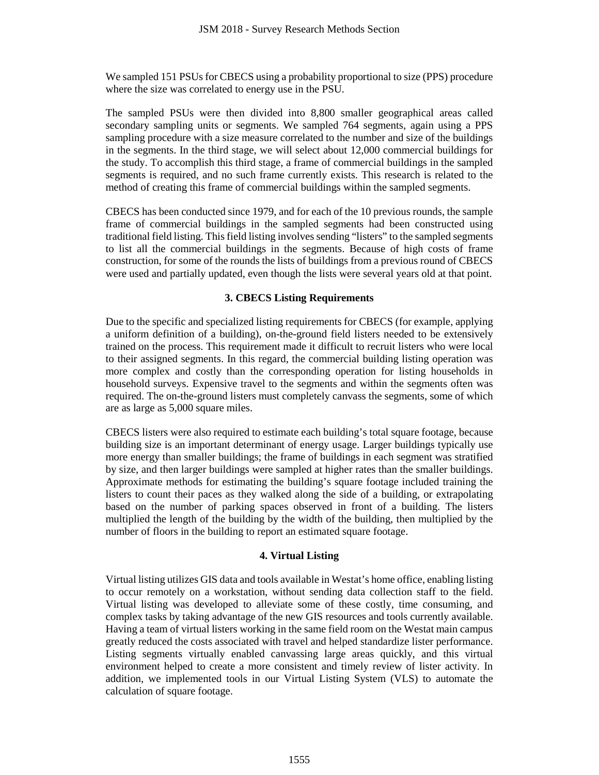We sampled 151 PSUs for CBECS using a probability proportional to size (PPS) procedure where the size was correlated to energy use in the PSU.

The sampled PSUs were then divided into 8,800 smaller geographical areas called secondary sampling units or segments. We sampled 764 segments, again using a PPS sampling procedure with a size measure correlated to the number and size of the buildings in the segments. In the third stage, we will select about 12,000 commercial buildings for the study. To accomplish this third stage, a frame of commercial buildings in the sampled segments is required, and no such frame currently exists. This research is related to the method of creating this frame of commercial buildings within the sampled segments.

CBECS has been conducted since 1979, and for each of the 10 previous rounds, the sample frame of commercial buildings in the sampled segments had been constructed using traditional field listing. This field listing involves sending "listers" to the sampled segments to list all the commercial buildings in the segments. Because of high costs of frame construction, for some of the rounds the lists of buildings from a previous round of CBECS were used and partially updated, even though the lists were several years old at that point.

# **3. CBECS Listing Requirements**

Due to the specific and specialized listing requirements for CBECS (for example, applying a uniform definition of a building), on-the-ground field listers needed to be extensively trained on the process. This requirement made it difficult to recruit listers who were local to their assigned segments. In this regard, the commercial building listing operation was more complex and costly than the corresponding operation for listing households in household surveys. Expensive travel to the segments and within the segments often was required. The on-the-ground listers must completely canvass the segments, some of which are as large as 5,000 square miles.

CBECS listers were also required to estimate each building's total square footage, because building size is an important determinant of energy usage. Larger buildings typically use more energy than smaller buildings; the frame of buildings in each segment was stratified by size, and then larger buildings were sampled at higher rates than the smaller buildings. Approximate methods for estimating the building's square footage included training the listers to count their paces as they walked along the side of a building, or extrapolating based on the number of parking spaces observed in front of a building. The listers multiplied the length of the building by the width of the building, then multiplied by the number of floors in the building to report an estimated square footage.

# **4. Virtual Listing**

Virtual listing utilizes GIS data and tools available in Westat's home office, enabling listing to occur remotely on a workstation, without sending data collection staff to the field. Virtual listing was developed to alleviate some of these costly, time consuming, and complex tasks by taking advantage of the new GIS resources and tools currently available. Having a team of virtual listers working in the same field room on the Westat main campus greatly reduced the costs associated with travel and helped standardize lister performance. Listing segments virtually enabled canvassing large areas quickly, and this virtual environment helped to create a more consistent and timely review of lister activity. In addition, we implemented tools in our Virtual Listing System (VLS) to automate the calculation of square footage.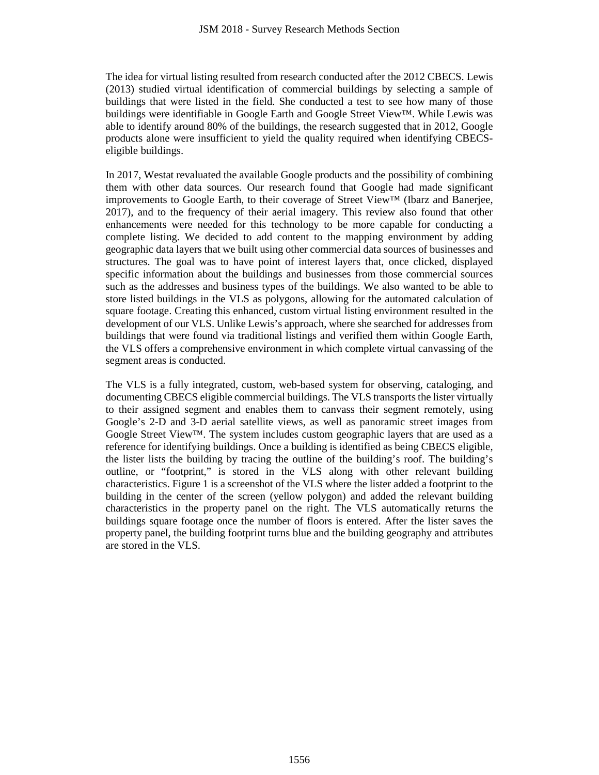The idea for virtual listing resulted from research conducted after the 2012 CBECS. Lewis (2013) studied virtual identification of commercial buildings by selecting a sample of buildings that were listed in the field. She conducted a test to see how many of those buildings were identifiable in Google Earth and Google Street View™. While Lewis was able to identify around 80% of the buildings, the research suggested that in 2012, Google products alone were insufficient to yield the quality required when identifying CBECSeligible buildings.

In 2017, Westat revaluated the available Google products and the possibility of combining them with other data sources. Our research found that Google had made significant improvements to Google Earth, to their coverage of Street View™ (Ibarz and Banerjee, 2017), and to the frequency of their aerial imagery. This review also found that other enhancements were needed for this technology to be more capable for conducting a complete listing. We decided to add content to the mapping environment by adding geographic data layers that we built using other commercial data sources of businesses and structures. The goal was to have point of interest layers that, once clicked, displayed specific information about the buildings and businesses from those commercial sources such as the addresses and business types of the buildings. We also wanted to be able to store listed buildings in the VLS as polygons, allowing for the automated calculation of square footage. Creating this enhanced, custom virtual listing environment resulted in the development of our VLS. Unlike Lewis's approach, where she searched for addresses from buildings that were found via traditional listings and verified them within Google Earth, the VLS offers a comprehensive environment in which complete virtual canvassing of the segment areas is conducted.

The VLS is a fully integrated, custom, web-based system for observing, cataloging, and documenting CBECS eligible commercial buildings. The VLS transports the lister virtually to their assigned segment and enables them to canvass their segment remotely, using Google's 2-D and 3-D aerial satellite views, as well as panoramic street images from Google Street View<sup>™.</sup> The system includes custom geographic layers that are used as a reference for identifying buildings. Once a building is identified as being CBECS eligible, the lister lists the building by tracing the outline of the building's roof. The building's outline, or "footprint," is stored in the VLS along with other relevant building characteristics. Figure 1 is a screenshot of the VLS where the lister added a footprint to the building in the center of the screen (yellow polygon) and added the relevant building characteristics in the property panel on the right. The VLS automatically returns the buildings square footage once the number of floors is entered. After the lister saves the property panel, the building footprint turns blue and the building geography and attributes are stored in the VLS.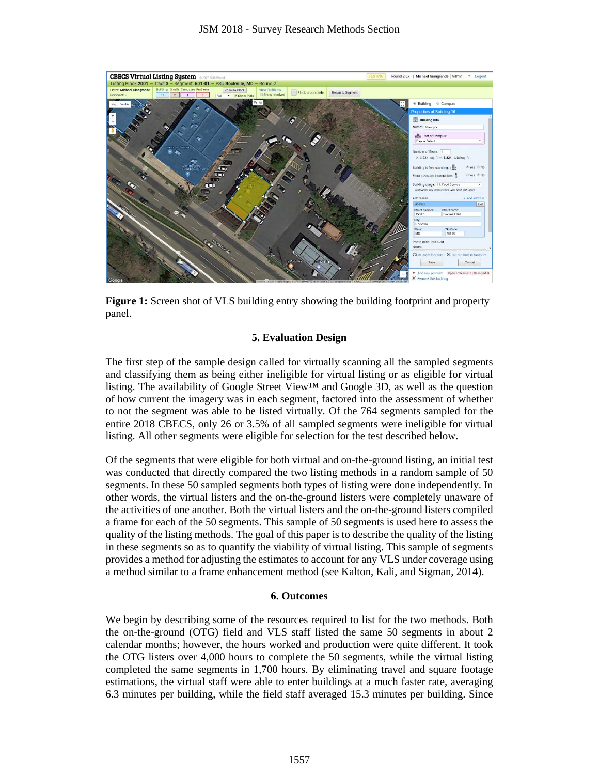

**Figure 1:** Screen shot of VLS building entry showing the building footprint and property panel.

## **5. Evaluation Design**

The first step of the sample design called for virtually scanning all the sampled segments and classifying them as being either ineligible for virtual listing or as eligible for virtual listing. The availability of Google Street View<sup>™</sup> and Google 3D, as well as the question of how current the imagery was in each segment, factored into the assessment of whether to not the segment was able to be listed virtually. Of the 764 segments sampled for the entire 2018 CBECS, only 26 or 3.5% of all sampled segments were ineligible for virtual listing. All other segments were eligible for selection for the test described below.

Of the segments that were eligible for both virtual and on-the-ground listing, an initial test was conducted that directly compared the two listing methods in a random sample of 50 segments. In these 50 sampled segments both types of listing were done independently. In other words, the virtual listers and the on-the-ground listers were completely unaware of the activities of one another. Both the virtual listers and the on-the-ground listers compiled a frame for each of the 50 segments. This sample of 50 segments is used here to assess the quality of the listing methods. The goal of this paper is to describe the quality of the listing in these segments so as to quantify the viability of virtual listing. This sample of segments provides a method for adjusting the estimates to account for any VLS under coverage using a method similar to a frame enhancement method (see Kalton, Kali, and Sigman, 2014).

## **6. Outcomes**

We begin by describing some of the resources required to list for the two methods. Both the on-the-ground (OTG) field and VLS staff listed the same 50 segments in about 2 calendar months; however, the hours worked and production were quite different. It took the OTG listers over 4,000 hours to complete the 50 segments, while the virtual listing completed the same segments in 1,700 hours. By eliminating travel and square footage estimations, the virtual staff were able to enter buildings at a much faster rate, averaging 6.3 minutes per building, while the field staff averaged 15.3 minutes per building. Since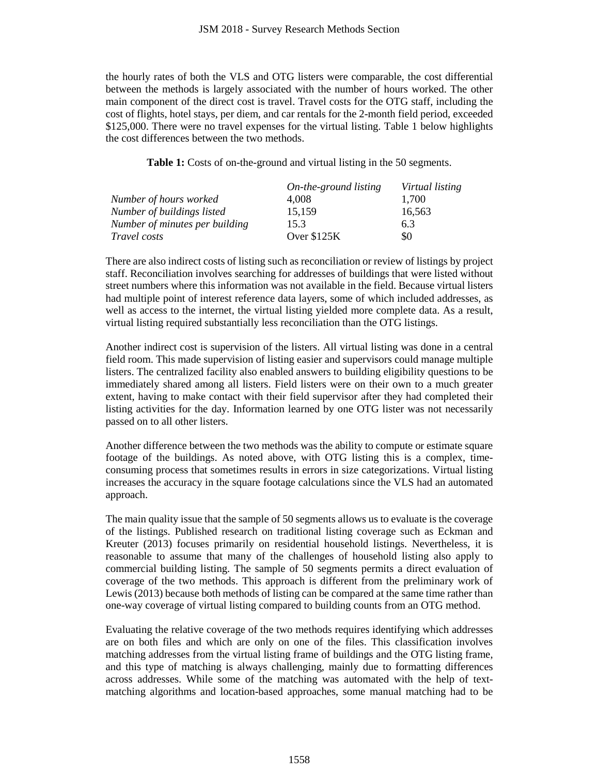the hourly rates of both the VLS and OTG listers were comparable, the cost differential between the methods is largely associated with the number of hours worked. The other main component of the direct cost is travel. Travel costs for the OTG staff, including the cost of flights, hotel stays, per diem, and car rentals for the 2-month field period, exceeded \$125,000. There were no travel expenses for the virtual listing. Table 1 below highlights the cost differences between the two methods.

**Table 1:** Costs of on-the-ground and virtual listing in the 50 segments.

|                                | On-the-ground listing | Virtual listing |  |
|--------------------------------|-----------------------|-----------------|--|
| Number of hours worked         | 4.008                 | 1.700           |  |
| Number of buildings listed     | 15,159                | 16,563          |  |
| Number of minutes per building | 15.3                  | 6.3             |  |
| <i>Travel costs</i>            | Over $$125K$          | \$0             |  |

There are also indirect costs of listing such as reconciliation or review of listings by project staff. Reconciliation involves searching for addresses of buildings that were listed without street numbers where this information was not available in the field. Because virtual listers had multiple point of interest reference data layers, some of which included addresses, as well as access to the internet, the virtual listing yielded more complete data. As a result, virtual listing required substantially less reconciliation than the OTG listings.

Another indirect cost is supervision of the listers. All virtual listing was done in a central field room. This made supervision of listing easier and supervisors could manage multiple listers. The centralized facility also enabled answers to building eligibility questions to be immediately shared among all listers. Field listers were on their own to a much greater extent, having to make contact with their field supervisor after they had completed their listing activities for the day. Information learned by one OTG lister was not necessarily passed on to all other listers.

Another difference between the two methods was the ability to compute or estimate square footage of the buildings. As noted above, with OTG listing this is a complex, timeconsuming process that sometimes results in errors in size categorizations. Virtual listing increases the accuracy in the square footage calculations since the VLS had an automated approach.

The main quality issue that the sample of 50 segments allows us to evaluate is the coverage of the listings. Published research on traditional listing coverage such as Eckman and Kreuter (2013) focuses primarily on residential household listings. Nevertheless, it is reasonable to assume that many of the challenges of household listing also apply to commercial building listing. The sample of 50 segments permits a direct evaluation of coverage of the two methods. This approach is different from the preliminary work of Lewis (2013) because both methods of listing can be compared at the same time rather than one-way coverage of virtual listing compared to building counts from an OTG method.

Evaluating the relative coverage of the two methods requires identifying which addresses are on both files and which are only on one of the files. This classification involves matching addresses from the virtual listing frame of buildings and the OTG listing frame, and this type of matching is always challenging, mainly due to formatting differences across addresses. While some of the matching was automated with the help of textmatching algorithms and location-based approaches, some manual matching had to be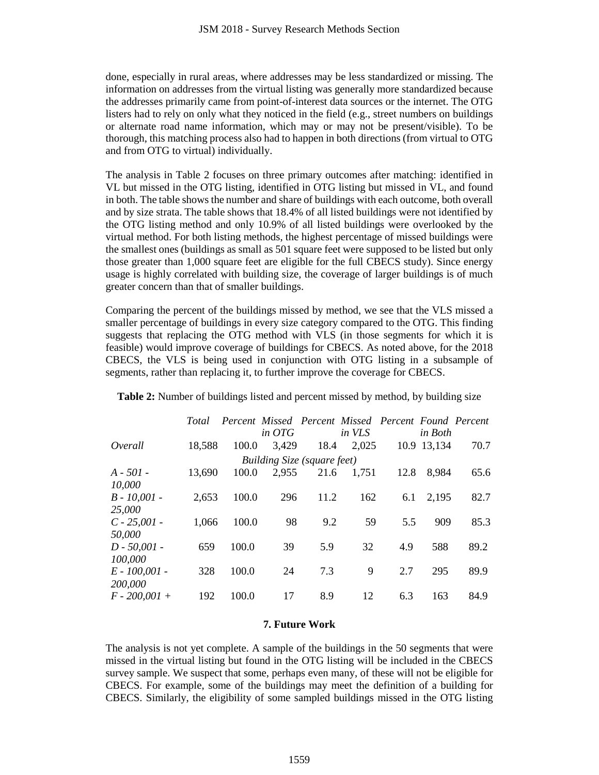done, especially in rural areas, where addresses may be less standardized or missing. The information on addresses from the virtual listing was generally more standardized because the addresses primarily came from point-of-interest data sources or the internet. The OTG listers had to rely on only what they noticed in the field (e.g., street numbers on buildings or alternate road name information, which may or may not be present/visible). To be thorough, this matching process also had to happen in both directions (from virtual to OTG and from OTG to virtual) individually.

The analysis in Table 2 focuses on three primary outcomes after matching: identified in VL but missed in the OTG listing, identified in OTG listing but missed in VL, and found in both. The table shows the number and share of buildings with each outcome, both overall and by size strata. The table shows that 18.4% of all listed buildings were not identified by the OTG listing method and only 10.9% of all listed buildings were overlooked by the virtual method. For both listing methods, the highest percentage of missed buildings were the smallest ones (buildings as small as 501 square feet were supposed to be listed but only those greater than 1,000 square feet are eligible for the full CBECS study). Since energy usage is highly correlated with building size, the coverage of larger buildings is of much greater concern than that of smaller buildings.

Comparing the percent of the buildings missed by method, we see that the VLS missed a smaller percentage of buildings in every size category compared to the OTG. This finding suggests that replacing the OTG method with VLS (in those segments for which it is feasible) would improve coverage of buildings for CBECS. As noted above, for the 2018 CBECS, the VLS is being used in conjunction with OTG listing in a subsample of segments, rather than replacing it, to further improve the coverage for CBECS.

|                                    | Total  |       | Percent Missed Percent Missed Percent Found Percent<br>in $OTG$ |      | in VLS |      | in Both     |      |  |  |
|------------------------------------|--------|-------|-----------------------------------------------------------------|------|--------|------|-------------|------|--|--|
| Overall                            | 18,588 | 100.0 | 3,429                                                           | 18.4 | 2,025  |      | 10.9 13,134 | 70.7 |  |  |
| <b>Building Size (square feet)</b> |        |       |                                                                 |      |        |      |             |      |  |  |
| $A - 501 -$                        | 13,690 | 100.0 | 2,955                                                           | 21.6 | 1.751  | 12.8 | 8,984       | 65.6 |  |  |
| 10,000                             |        |       |                                                                 |      |        |      |             |      |  |  |
| $B - 10,001 -$                     | 2,653  | 100.0 | 296                                                             | 11.2 | 162    | 6.1  | 2,195       | 82.7 |  |  |
| 25,000                             |        |       |                                                                 |      |        |      |             |      |  |  |
| $C - 25,001 -$                     | 1,066  | 100.0 | 98                                                              | 9.2  | 59     | 5.5  | 909         | 85.3 |  |  |
| 50,000                             |        |       |                                                                 |      |        |      |             |      |  |  |
| $D - 50,001 -$                     | 659    | 100.0 | 39                                                              | 5.9  | 32     | 4.9  | 588         | 89.2 |  |  |
| 100,000                            |        |       |                                                                 |      |        |      |             |      |  |  |
| $E - 100,001 -$                    | 328    | 100.0 | 24                                                              | 7.3  | 9      | 2.7  | 295         | 89.9 |  |  |
| 200,000                            |        |       |                                                                 |      |        |      |             |      |  |  |
| $F - 200,001 +$                    | 192    | 100.0 | 17                                                              | 8.9  | 12     | 6.3  | 163         | 84.9 |  |  |

**Table 2:** Number of buildings listed and percent missed by method, by building size

# **7. Future Work**

The analysis is not yet complete. A sample of the buildings in the 50 segments that were missed in the virtual listing but found in the OTG listing will be included in the CBECS survey sample. We suspect that some, perhaps even many, of these will not be eligible for CBECS. For example, some of the buildings may meet the definition of a building for CBECS. Similarly, the eligibility of some sampled buildings missed in the OTG listing